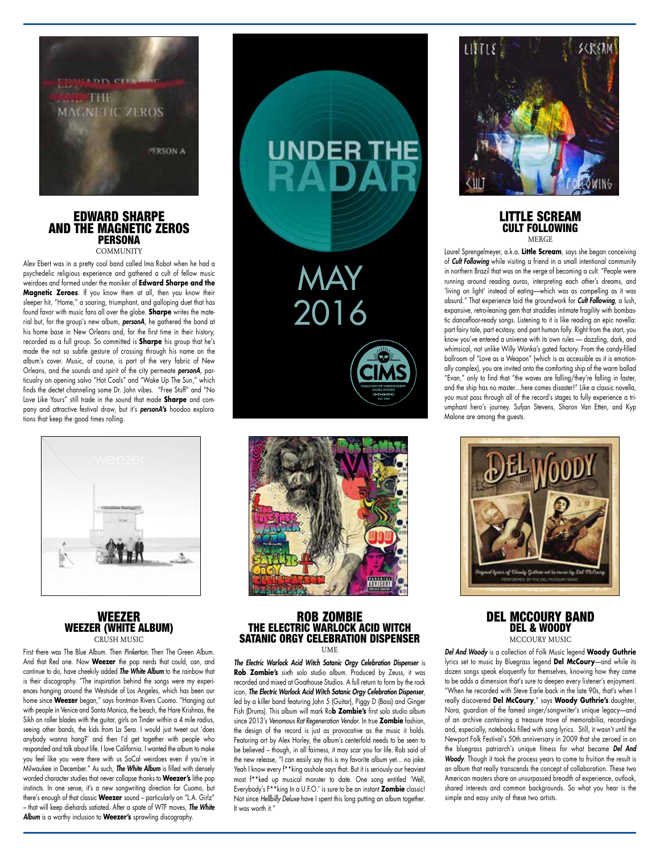

### EDWARD SHARPE AND THE MAGNETIC ZEROS **PERSONA COMMUNITY**

Alex Ebert was in a pretty cool band called Ima Robot when he had a psychedelic religious experience and gathered a cult of fellow music weirdoes and formed under the moniker of **Edward Sharpe and the Magnetic Zeroes**. If you know them at all, then you know their sleeper hit, "Home," a soaring, triumphant, and galloping duet that has found favor with music fans all over the globe. **Sharpe** writes the material but, for the group's new album, *personA*, he gathered the band at his home base in New Orleans and, for the first time in their history, recorded as a full group. So committed is **Sharpe** his group that he's made the not so subtle gesture of crossing through his name on the album's cover. Music, of course, is part of the very fabric of New Orleans, and the sounds and spirit of the city permeate *personA*, particualry on opening salvo "Hot Coals" and "Wake Up The Sun," which finds the dectet channeling some Dr. John vibes. "Free Stuff" and "No Love Like Yours" still trade in the sound that made **Sharpe** and company and attractive festival draw, but it's *personA***'s** hoodoo explorations that keep the good times rolling.



## WEEZER WEEZER (WHITE ALBUM) CRUSH MUSIC

First there was The Blue Album. Then *Pinkerton.* Then The Green Album. And that Red one. Now **Weezer** the pop nerds that could, can, and continue to do, have cheekily added *The White Album* to the rainbow that is their discography. "The inspiration behind the songs were my experiences hanging around the Westside of Los Angeles, which has been our home since **Weezer** began," says frontman Rivers Cuomo. "Hanging out with people in Venice and Santa Monica, the beach, the Hare Krishnas, the Sikh on roller blades with the guitar, girls on Tinder within a 4 mile radius, seeing other bands, the kids from La Sera. I would just tweet out 'does anybody wanna hang?' and then I'd get together with people who responded and talk about life. I love California. I wanted the album to make you feel like you were there with us SoCal weirdoes even if you're in Milwaukee in December." As such, *The White Album* is filled with densely worded character studies that never collapse thanks to **Weezer's** lithe pop instincts. In one sense, it's a new songwriting direction for Cuomo, but there's enough of that classic **Weezer** sound – particularly on "L.A. Girlz" – that will keep diehards satiated. After a spate of WTF moves, *The White Album* is a worthy inclusion to **Weezer's** sprawling discography.





### ROB ZOMBIE THE ELECTRIC WARLOCK ACID WITCH SATANIC ORGY CELEBRATION DISPENSER **IIME**

*The Electric Warlock Acid Witch Satanic Orgy Celebration Dispenser* is **Rob Zombie's** sixth solo studio album. Produced by Zeuss, it was recorded and mixed at Goathouse Studios. A full return to form by the rock icon, *The Electric Warlock Acid Witch Satanic Orgy Celebration Dispenser*, led by a killer band featuring John 5 (Guitar), Piggy D (Bass) and Ginger Fish (Drums). This album will mark Ro**b Zombie's** first solo studio album since 2013's *Venomous Rat Regeneration Vendor*. In true **Zombie** fashion, the design of the record is just as provocative as the music it holds. Featuring art by Alex Horley, the album's centerfold needs to be seen to be believed – though, in all fairness, it may scar you for life. Rob said of the new release, "I can easily say this is my favorite album yet... no joke. Yeah I know every  $f^*$  king asshole says that. But it is seriously our heaviest most f\*\*ked up musical monster to date. One song entitled 'Well, Everybody's F\*\*king In a U.F.O.' is sure to be an instant **Zombie** classic! Not since *Hellbilly Deluxe* have I spent this long putting an album together. It was worth it."



#### LITTLE SCREAM CULT FOLLOWING MERGE

Laurel Sprengelmeyer, a.k.a. **Little Scream**, says she began conceiving of *Cult Following* while visiting a friend in a small intentional community in northern Brazil that was on the verge of becoming a cult. "People were running around reading auras, interpreting each other's dreams, and 'living on light' instead of eating—which was as compelling as it was absurd." That experience laid the groundwork for *Cult Following*, a lush, expansive, retro-leaning gem that straddles intimate fragility with bombastic dancefloor-ready songs. Listening to it is like reading an epic novella: part fairy tale, part ecstasy, and part human folly. Right from the start, you know you've entered a universe with its own rules — dazzling, dark, and whimsical, not unlike Willy Wonka's gated factory. From the candy-filled ballroom of "Love as a Weapon" (which is as accessible as it is emotionally complex), you are invited onto the comforting ship of the warm ballad "Evan," only to find that "the waves are falling/they're falling in faster, and the ship has no master…here comes disaster!" Like a classic novella, you must pass through all of the record's stages to fully experience a triumphant hero's journey. Sufjan Stevens, Sharon Van Etten, and Kyp Malone are among the guests.



### DEL MCCOURY BAND DEL & WOODY MCCOURY MUSIC

*Del And Woody* is a collection of Folk Music legend **Woody Guthrie** lyrics set to music by Bluegrass legend **Del McCoury**—and while its dozen songs speak eloquently for themselves, knowing how they came to be adds a dimension that's sure to deepen every listener's enjoyment. "When he recorded with Steve Earle back in the late 90s, that's when I really discovered **Del McCoury**," says **Woody Guthrie's** daughter, Nora, guardian of the famed singer/songwriter's unique legacy—and of an archive containing a treasure trove of memorabilia, recordings and, especially, notebooks filled with song lyrics. Still, it wasn't until the Newport Folk Festival's 50th anniversary in 2009 that she zeroed in on the bluegrass patriarch's unique fitness for what became *Del And Woody*. Though it took the process years to come to fruition the result is an album that really transcends the concept of collaboration. These two American masters share an unsurpassed breadth of experience, outlook, shared interests and common backgrounds. So what you hear is the simple and easy unity of these two artists.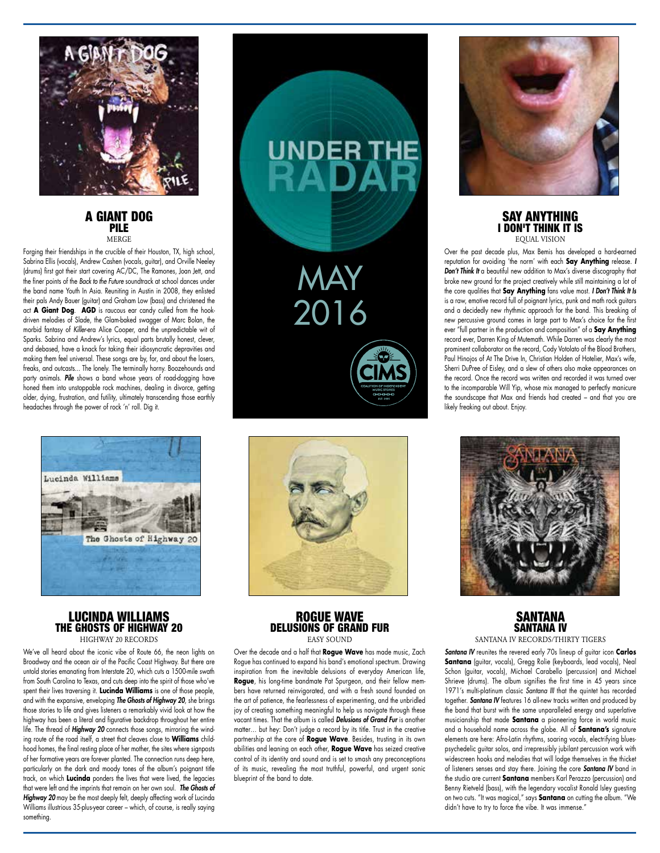

## A GIANT DOG PILE **MERCE**

Forging their friendships in the crucible of their Houston, TX, high school, Sabrina Ellis (vocals), Andrew Cashen (vocals, guitar), and Orville Neeley (drums) first got their start covering AC/DC, The Ramones, Joan Jett, and the finer points of the *Back to the Future* soundtrack at school dances under the band name Youth In Asia. Reuniting in Austin in 2008, they enlisted their pals Andy Bauer (guitar) and Graham Low (bass) and christened the act **A Giant Dog**. **AGD** is raucous ear candy culled from the hookdriven melodies of Slade, the Glam-baked swagger of Marc Bolan, the morbid fantasy of *Killer*-era Alice Cooper, and the unpredictable wit of Sparks. Sabrina and Andrew's lyrics, equal parts brutally honest, clever, and debased, have a knack for taking their idiosyncratic depravities and making them feel universal. These songs are by, for, and about the losers, freaks, and outcasts... The lonely. The terminally horny. Boozehounds and party animals. *Pile* shows a band whose years of road-dogging have honed them into unstoppable rock machines, dealing in divorce, getting older, dying, frustration, and futility, ultimately transcending those earthly headaches through the power of rock 'n' roll. Dig it.



## LUCINDA WILLIAMS THE GHOSTS OF HIGHWAY 20 HIGHWAY 20 RECORDS

We've all heard about the iconic vibe of Route 66, the neon lights on Broadway and the ocean air of the Pacific Coast Highway. But there are untold stories emanating from Interstate 20, which cuts a 1500-mile swath from South Carolina to Texas, and cuts deep into the spirit of those who've spent their lives traversing it. **Lucinda Williams** is one of those people, and with the expansive, enveloping *The Ghosts of Highway 20*, she brings those stories to life and gives listeners a remarkably vivid look at how the highway has been a literal and figurative backdrop throughout her entire life. The thread of *Highway 20* connects those songs, mirroring the winding route of the road itself, a street that cleaves close to **Williams** childhood homes, the final resting place of her mother, the sites where signposts of her formative years are forever planted. The connection runs deep here, particularly on the dark and moody tones of the album's poignant title track, on which **Lucinda** ponders the lives that were lived, the legacies that were left and the imprints that remain on her own soul. *The Ghosts of Highway 20* may be the most deeply felt, deeply affecting work of Lucinda Williams illustrious 35-plus-year career – which, of course, is really saying something.





## ROGUE WAVE DELUSIONS OF GRAND FUR EASY SOUND

Over the decade and a half that **Rogue Wave** has made music, Zach Rogue has continued to expand his band's emotional spectrum. Drawing inspiration from the inevitable delusions of everyday American life, **Rogue**, his long-time bandmate Pat Spurgeon, and their fellow members have returned reinvigorated, and with a fresh sound founded on the art of patience, the fearlessness of experimenting, and the unbridled joy of creating something meaningful to help us navigate through these vacant times. That the album is called *Delusions of Grand Fur* is another matter… but hey: Don't judge a record by its title. Trust in the creative partnership at the core of **Rogue Wave**. Besides, trusting in its own abilities and leaning on each other, **Rogue Wave** has seized creative control of its identity and sound and is set to smash any preconceptions of its music, revealing the most truthful, powerful, and urgent sonic blueprint of the band to date.



### SAY ANYTHING I DON'T THINK IT IS EQUAL VISION

Over the past decade plus, Max Bemis has developed a hard-earned reputation for avoiding 'the norm' with each **Say Anything** release. *I Don't Think It* a beautiful new addition to Max's diverse discography that broke new ground for the project creatively while still maintaining a lot of the core qualities that **Say Anything** fans value most. *I Don't Think It Is* is a raw, emotive record full of poignant lyrics, punk and math rock guitars and a decidedly new rhythmic approach for the band. This breaking of new percussive ground comes in large part to Max's choice for the first ever "full partner in the production and composition" of a **Say Anything** record ever, Darren King of Mutemath. While Darren was clearly the most prominent collaborator on the record, Cody Votolato of the Blood Brothers, Paul Hinojos of At The Drive In, Christian Holden of Hotelier, Max's wife, Sherri DuPree of Eisley, and a slew of others also make appearances on the record. Once the record was written and recorded it was turned over to the incomparable Will Yip, whose mix managed to perfectly manicure the soundscape that Max and friends had created – and that you are likely freaking out about. Enjoy.



# SANTANA SANTANA IV

SANTANA IV RECORDS/THIRTY TIGERS

*Santana IV* reunites the revered early 70s lineup of guitar icon **Carlos Santana** (guitar, vocals), Gregg Rolie (keyboards, lead vocals), Neal Schon (guitar, vocals), Michael Carabello (percussion) and Michael Shrieve (drums). The album signifies the first time in 45 years since 1971's multi-platinum classic *Santana III* that the quintet has recorded together. *Santana IV* features 16 all-new tracks written and produced by the band that burst with the same unparalleled energy and superlative musicianship that made **Santana** a pioneering force in world music and a household name across the globe. All of **Santana's** signature elements are here: Afro-Latin rhythms, soaring vocals, electrifying bluespsychedelic guitar solos, and irrepressibly jubilant percussion work with widescreen hooks and melodies that will lodge themselves in the thicket of listeners senses and stay there. Joining the core *Santana IV* band in the studio are current **Santana** members Karl Perazzo (percussion) and Benny Rietveld (bass), with the legendary vocalist Ronald Isley guesting on two cuts. "It was magical," says **Santana** on cutting the album. "We didn't have to try to force the vibe. It was immense."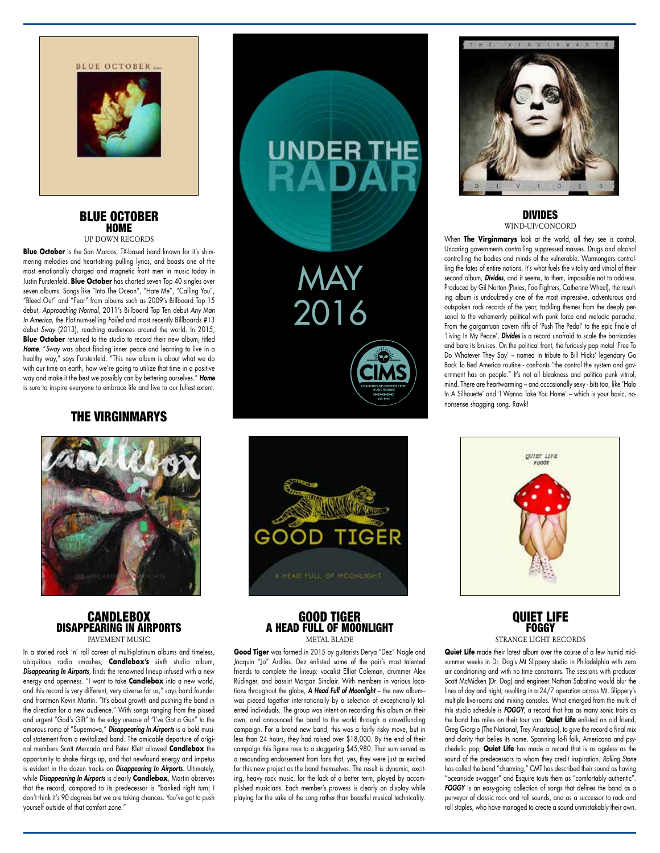



### BLUE OCTOBER HOME UP DOWN RECORDS

**Blue October** is the San Marcos, TX-based band known for it's shimmering melodies and heart-string pulling lyrics, and boasts one of the most emotionally charged and magnetic front men in music today in Justin Furstenfeld. **Blue October** has charted seven Top 40 singles over seven albums. Songs like "Into The Ocean", "Hate Me", "Calling You", "Bleed Out" and "Fear" from albums such as 2009's Billboard Top 15 debut, *Approaching Normal*, 2011's Billboard Top Ten debut *Any Man In America*, the Platinum-selling *Foiled* and most recently Billboards #13 debut *Sway* (2013), reaching audiences around the world. In 2015, **Blue October** returned to the studio to record their new album, titled *Home*. "*Sway* was about finding inner peace and learning to live in a healthy way," says Furstenfeld. "This new album is about what we do with our time on earth, how we're going to utilize that time in a positive way and make it the best we possibly can by bettering ourselves." *Home* is sure to inspire everyone to embrace life and live to our fullest extent.

# THE VIRGINMARYS



## **CANDLEBOX** DISAPPEARING IN AIRPORTS PAVEMENT MUSIC

In a storied rock 'n' roll career of multi-platinum albums and timeless, ubiquitous radio smashes, **Candlebox's** sixth studio album, *Disappearing In Airports*, finds the renowned lineup infused with a new energy and openness. "I want to take **Candlebox** into a new world, and this record is very different, very diverse for us," says band founder and frontman Kevin Martin. "It's about growth and pushing the band in the direction for a new audience." With songs ranging from the pissed and urgent "God's Gift" to the edgy unease of "I've Got a Gun" to the amorous romp of "Supernova," *Disappearing In Airports* is a bold musical statement from a revitalized band. The amicable departure of original members Scott Mercado and Peter Klett allowed **Candlebox** the opportunity to shake things up, and that newfound energy and impetus is evident in the dozen tracks on *Disappearing In Airports*. Ultimately, while *Disappearing In Airports* is clearly **Candlebox**, Martin observes that the record, compared to its predecessor is "banked right turn; I don't think it's 90 degrees but we are taking chances. You've got to push yourself outside of that comfort zone."





## GOOD TIGER A HEAD FULL OF MOONLIGHT METAL BLADE

**Good Tiger** was formed in 2015 by guitarists Derya "Dez" Nagle and Joaquin "Jo" Ardiles. Dez enlisted some of the pair's most talented friends to complete the lineup: vocalist Elliot Coleman, drummer Alex Rüdinger, and bassist Morgan Sinclair. With members in various locations throughout the globe, *A Head Full of Moonlight* – the new album– was pieced together internationally by a selection of exceptionally talented individuals. The group was intent on recording this album on their own, and announced the band to the world through a crowdfunding campaign. For a brand new band, this was a fairly risky move, but in less than 24 hours, they had raised over \$18,000. By the end of their campaign this figure rose to a staggering \$45,980. That sum served as a resounding endorsement from fans that, yes, they were just as excited for this new project as the band themselves. The result is dynamic, exciting, heavy rock music, for the lack of a better term, played by accomplished musicians. Each member's prowess is clearly on display while playing for the sake of the song rather than boastful musical technicality.



### DIVIDES WIND-UP/CONCORD

When **The Virginmarys** look at the world, all they see is control. Uncaring governments controlling suppressed masses. Drugs and alcohol controlling the bodies and minds of the vulnerable. Warmongers controlling the fates of entire nations. It's what fuels the vitality and vitriol of their second album, *Divides*, and it seems, to them, impossible not to address. Produced by Gil Norton (Pixies, Foo Fighters, Catherine Wheel), the resulting album is undoubtedly one of the most impressive, adventurous and outspoken rock records of the year, tackling themes from the deeply personal to the vehemently political with punk force and melodic panache. From the gargantuan cavern riffs of 'Push The Pedal' to the epic finale of 'Living In My Peace', *Divides* is a record unafraid to scale the barricades and bare its bruises. On the political front, the furiously pop metal 'Free To Do Whatever They Say' – named in tribute to Bill Hicks' legendary Go Back To Bed America routine - confronts "the control the system and government has on people." It's not all bleakness and politico punk vitriol, mind. There are heartwarming – and occasionally sexy - bits too, like 'Halo In A Silhouette' and 'I Wanna Take You Home' – which is your basic, nononsense shagging song. Rawk!



## QUIET LIFE **FOGGY** STRANGE LIGHT RECORDS

**Quiet Life** made their latest album over the course of a few humid midsummer weeks in Dr. Dog's Mt Slippery studio in Philadelphia with zero air conditioning and with no time constraints. The sessions with producer Scott McMicken (Dr. Dog) and engineer Nathan Sabatino would blur the lines of day and night; resulting in a 24/7 operation across Mt. Slippery's multiple live-rooms and mixing consoles. What emerged from the murk of this studio schedule is *FOGGY*, a record that has as many sonic traits as the band has miles on their tour van. **Quiet Life** enlisted an old friend, Greg Giorgio (The National, Trey Anastasio), to give the record a final mix and clarity that belies its name. Spanning lo-fi folk, Americana and psychedelic pop, **Quiet Life** has made a record that is as ageless as the sound of the predecessors to whom they credit inspiration. *Rolling Stone* has called the band "charming," CMT has described their sound as having "oceanside swagger" and Esquire touts them as "comfortably authentic". *FOGGY* is an easy-going collection of songs that defines the band as a purveyor of classic rock and roll sounds, and as a successor to rock and roll staples, who have managed to create a sound unmistakably their own.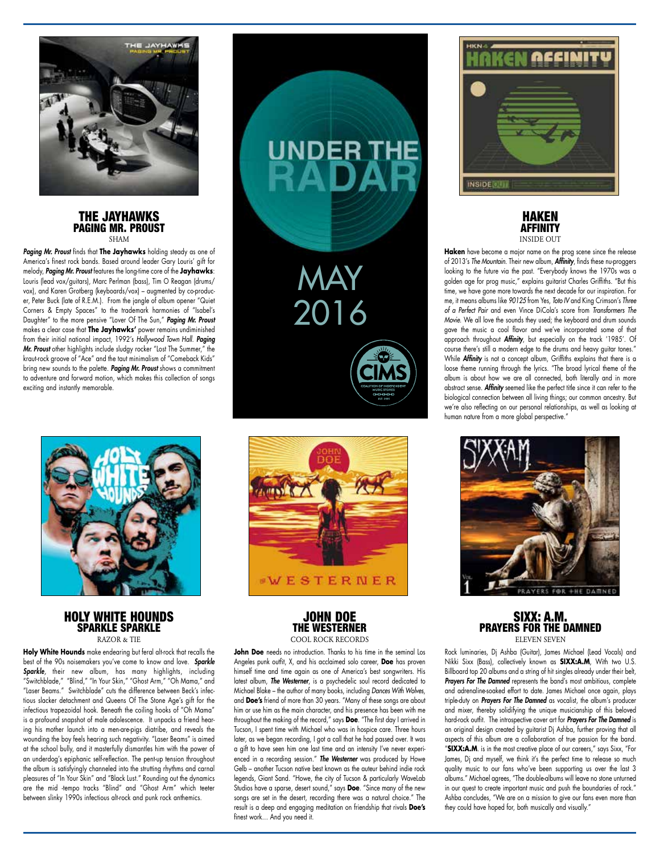

#### THE JAYHAWKS PAGING MR. PROUST SHAM

*Paging Mr. Proust* finds that **The Jayhawks** holding steady as one of America's finest rock bands. Based around leader Gary Louris' gift for melody, *Paging Mr. Proust* features the long-time core of the **Jayhawks**: Louris (lead vox/guitars), Marc Perlman (bass), Tim O Reagan (drums/ vox), and Karen Grotberg (keyboards/vox) – augmented by co-producer, Peter Buck (late of R.E.M.). From the jangle of album opener "Quiet Corners & Empty Spaces" to the trademark harmonies of "Isabel's Daughter" to the more pensive "Lover Of The Sun," *Paging Mr. Proust* makes a clear case that **The Jayhawks'** power remains undiminished from their initial national impact, 1992's *Hollywood Town Hall*. *Paging Mr. Proust* other highlights include sludgy rocker "Lost The Summer," the kraut-rock groove of "Ace" and the taut minimalism of "Comeback Kids" bring new sounds to the palette. *Paging Mr. Proust* shows a commitment to adventure and forward motion, which makes this collection of songs exciting and instantly memorable.



HOLY WHITE HOUNDS SPARKLE SPARKLE RAZOR & TIE

**Holy White Hounds** make endearing but feral alt-rock that recalls the best of the 90s noisemakers you've come to know and love. *Sparkle Sparkle,* their new album, has many highlights, including "Switchblade," "Blind," "In Your Skin," "Ghost Arm," "Oh Mama," and "Laser Beams." Switchblade" cuts the difference between Beck's infectious slacker detachment and Queens Of The Stone Age's gift for the infectious trapezoidal hook. Beneath the coiling hooks of "Oh Mama" is a profound snapshot of male adolescence. It unpacks a friend hearing his mother launch into a men-are-pigs diatribe, and reveals the wounding the boy feels hearing such negativity. "Laser Beams" is aimed at the school bully, and it masterfully dismantles him with the power of an underdog's epiphanic self-reflection. The pent-up tension throughout the album is satisfyingly channeled into the strutting rhythms and carnal pleasures of "In Your Skin" and "Black Lust." Rounding out the dynamics are the mid -tempo tracks "Blind" and "Ghost Arm" which teeter between slinky 1990s infectious alt-rock and punk rock anthemics.



MAY

UNDER THE

2016

## JOHN DOE THE WESTERNER COOL ROCK RECORDS

**WESTERNER** 

John Doe needs no introduction. Thanks to his time in the seminal Los Angeles punk outfit, X, and his acclaimed solo career, **Doe** has proven himself time and time again as one of America's best songwriters. His latest album, *The Westerner*, is a psychedelic soul record dedicated to Michael Blake – the author of many books, including *Dances With Wolves*, and **Doe's** friend of more than 30 years. "Many of these songs are about him or use him as the main character, and his presence has been with me throughout the making of the record," says **Doe**. "The first day I arrived in Tucson, I spent time with Michael who was in hospice care. Three hours later, as we began recording, I got a call that he had passed over. It was a gift to have seen him one last time and an intensity I've never experienced in a recording session." *The Westerner* was produced by Howe Gelb – another Tucson native best known as the auteur behind indie rock legends, Giant Sand. "Howe, the city of Tucson & particularly WaveLab Studios have a sparse, desert sound," says **Doe**. "Since many of the new songs are set in the desert, recording there was a natural choice." The result is a deep and engaging meditation on friendship that rivals **Doe's** finest work… And you need it.





**Haken** have become a major name on the prog scene since the release of 2013's *The Mountain*. Their new album, *Affinity*, finds these nu-proggers looking to the future via the past. "Everybody knows the 1970s was a golden age for prog music," explains guitarist Charles Griffiths. "But this time, we have gone more towards the next decade for our inspiration. For me, it means albums like *90125* from Yes, *Toto IV* and King Crimson's *Three of a Perfect Pair* and even Vince DiCola's score from *Transformers The Movie*. We all love the sounds they used; the keyboard and drum sounds gave the music a cool flavor and we've incorporated some of that approach throughout **Affinity**, but especially on the track '1985'. Of course there's still a modern edge to the drums and heavy guitar tones." While *Affinity* is not a concept album, Griffiths explains that there is a loose theme running through the lyrics. "The broad lyrical theme of the album is about how we are all connected, both literally and in more abstract sense. *Affinity* seemed like the perfect title since it can refer to the biological connection between all living things; our common ancestry. But we're also reflecting on our personal relationships, as well as looking at human nature from a more global perspective."



## SIXX: A.M. PRAYERS FOR THE DAMNED ELEVEN SEVEN

Rock luminaries, Dj Ashba (Guitar), James Michael (Lead Vocals) and Nikki Sixx (Bass), collectively known as **SIXX:A.M**, With two U.S. Billboard top 20 albums and a string of hit singles already under their belt, *Prayers For The Damned* represents the band's most ambitious, complete and adrenaline-soaked effort to date. James Michael once again, plays triple-duty on *Prayers For The Damned* as vocalist, the album's producer and mixer, thereby solidifying the unique musicianship of this beloved hard-rock outfit. The introspective cover art for *Prayers For The Damned* is an original design created by guitarist Dj Ashba, further proving that all aspects of this album are a collaboration of true passion for the band. "**SIXX:A.M**. is in the most creative place of our careers," says Sixx, "For James, Dj and myself, we think it's the perfect time to release so much quality music to our fans who've been supporting us over the last 3 albums." Michael agrees, "The double-albums will leave no stone unturned in our quest to create important music and push the boundaries of rock." Ashba concludes, "We are on a mission to give our fans even more than they could have hoped for, both musically and visually."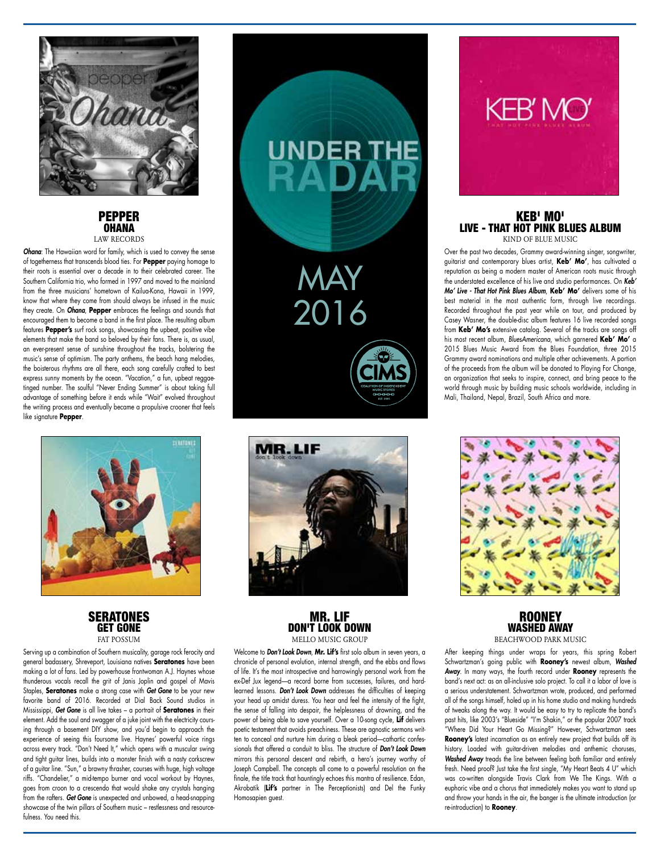

### PEPPER OHANA LAW RECORDS

*Ohana*: The Hawaiian word for family, which is used to convey the sense of togetherness that transcends blood ties. For **Pepper** paying homage to their roots is essential over a decade in to their celebrated career. The Southern California trio, who formed in 1997 and moved to the mainland from the three musicians' hometown of Kailua-Kona, Hawaii in 1999, know that where they come from should always be infused in the music they create. On *Ohana*, **Pepper** embraces the feelings and sounds that encouraged them to become a band in the first place. The resulting album features **Pepper's** surf rock songs, showcasing the upbeat, positive vibe elements that make the band so beloved by their fans. There is, as usual, an ever-present sense of sunshine throughout the tracks, bolstering the music's sense of optimism. The party anthems, the beach hang melodies, the boisterous rhythms are all there, each song carefully crafted to best express sunny moments by the ocean. "Vacation," a fun, upbeat reggaetinged number. The soulful "Never Ending Summer" is about taking full advantage of something before it ends while "Wait" evolved throughout the writing process and eventually became a propulsive crooner that feels like signature **Pepper**.



**SERATONES** GET GONE **FAT POSSUM** 

Serving up a combination of Southern musicality, garage rock ferocity and general badassery, Shreveport, Louisiana natives **Seratones** have been making a lot of fans. Led by powerhouse frontwoman A.J. Haynes whose thunderous vocals recall the grit of Janis Joplin and gospel of Mavis Staples, **Seratones** make a strong case with *Get Gone* to be your new favorite band of 2016. Recorded at Dial Back Sound studios in Mississippi, *Get Gone* is all live takes – a portrait of **Seratones** in their element. Add the soul and swagger of a juke joint with the electricity coursing through a basement DIY show, and you'd begin to approach the experience of seeing this foursome live. Haynes' powerful voice rings across every track. "Don't Need It," which opens with a muscular swing and tight guitar lines, builds into a monster finish with a nasty corkscrew of a guitar line. "Sun," a brawny thrasher, courses with huge, high voltage riffs. "Chandelier," a mid-tempo burner and vocal workout by Haynes, goes from croon to a crescendo that would shake any crystals hanging from the rafters. *Get Gone* is unexpected and unbowed, a head-snapping showcase of the twin pillars of Southern music – restlessness and resourcefulness. You need this.





MR. LIF DON'T LOOK DOWN MELLO MUSIC GROUP

Welcome to *Don't Look Down*, **Mr. Lif's** first solo album in seven years, a chronicle of personal evolution, internal strength, and the ebbs and flows of life. It's the most introspective and harrowingly personal work from the ex-Def Jux legend—a record borne from successes, failures, and hardlearned lessons. *Don't Look Down* addresses the difficulties of keeping your head up amidst duress. You hear and feel the intensity of the fight, the sense of falling into despair, the helplessness of drowning, and the power of being able to save yourself. Over a 10-song cycle, **Lif** delivers poetic testament that avoids preachiness. These are agnostic sermons written to conceal and nurture him during a bleak period—cathartic confessionals that offered a conduit to bliss. The structure of *Don't Look Down* mirrors this personal descent and rebirth, a hero's journey worthy of Joseph Campbell. The concepts all come to a powerful resolution on the finale, the title track that hauntingly echoes this mantra of resilience. Edan, Akrobatik (**Lif's** partner in The Perceptionists) and Del the Funky Homosapien guest.



### KEB' MO' LIVE - THAT HOT PINK BLUES ALBUM KIND OF BLUE MUSIC

Over the past two decades, Grammy award-winning singer, songwriter, guitarist and contemporary blues artist, **Keb' Mo'**, has cultivated a reputation as being a modern master of American roots music through the understated excellence of his live and studio performances. On *Keb' Mo' Live - That Hot Pink Blues Album*, **Keb' Mo'** delivers some of his best material in the most authentic form, through live recordings. Recorded throughout the past year while on tour, and produced by Casey Wasner, the double-disc album features 16 live recorded songs from **Keb' Mo's** extensive catalog. Several of the tracks are songs off his most recent album, *BluesAmericana*, which garnered **Keb' Mo'** a 2015 Blues Music Award from the Blues Foundation, three 2015 Grammy award nominations and multiple other achievements. A portion of the proceeds from the album will be donated to Playing For Change, an organization that seeks to inspire, connect, and bring peace to the world through music by building music schools worldwide, including in Mali, Thailand, Nepal, Brazil, South Africa and more.



**ROONEY** WASHED AWAY BEACHWOOD PARK MUSIC

After keeping things under wraps for years, this spring Robert Schwartzman's going public with **Rooney's** newest album, *Washed Away*. In many ways, the fourth record under **Rooney** represents the band's next act: as an all-inclusive solo project. To call it a labor of love is a serious understatement. Schwartzman wrote, produced, and performed all of the songs himself, holed up in his home studio and making hundreds of tweaks along the way. It would be easy to try to replicate the band's past hits, like 2003's "Blueside" "I'm Shakin," or the popular 2007 track "Where Did Your Heart Go Missing?" However, Schwartzman sees **Rooney's** latest incarnation as an entirely new project that builds off its history. Loaded with guitar-driven melodies and anthemic choruses, *Washed Away* treads the line between feeling both familiar and entirely fresh. Need proof? Just take the first single, "My Heart Beats 4 U" which was co-written alongside Travis Clark from We The Kings. With a euphoric vibe and a chorus that immediately makes you want to stand up and throw your hands in the air, the banger is the ultimate introduction (or re-introduction) to **Rooney**.